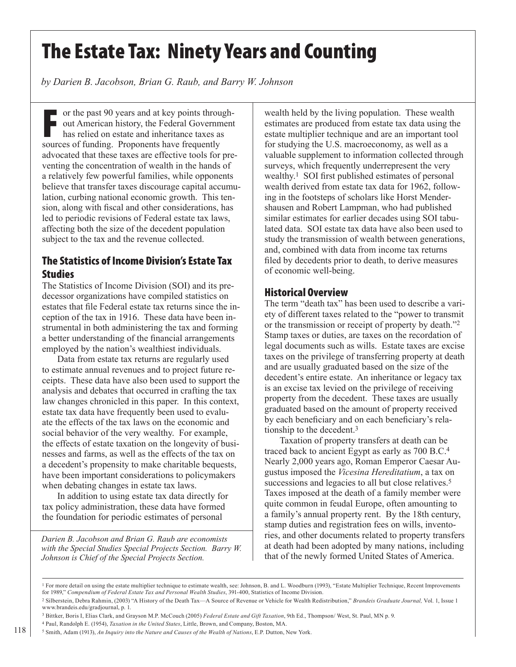# The Estate Tax: Ninety Years and Counting

*by Darien B. Jacobson, Brian G. Raub, and Barry W. Johnson*

For the past 90 years and at key points throu<br>
out American history, the Federal Governm<br>
has relied on estate and inheritance taxes as<br>
sources of funding. Proponents have frequently or the past 90 years and at key points throughout American history, the Federal Government has relied on estate and inheritance taxes as advocated that these taxes are effective tools for preventing the concentration of wealth in the hands of a relatively few powerful families, while opponents believe that transfer taxes discourage capital accumulation, curbing national economic growth. This tension, along with fiscal and other considerations, has led to periodic revisions of Federal estate tax laws, affecting both the size of the decedent population subject to the tax and the revenue collected.

### The Statistics of Income Division's Estate Tax **Studies**

The Statistics of Income Division (SOI) and its predecessor organizations have compiled statistics on estates that file Federal estate tax returns since the inception of the tax in 1916. These data have been instrumental in both administering the tax and forming a better understanding of the financial arrangements employed by the nation's wealthiest individuals.

Data from estate tax returns are regularly used to estimate annual revenues and to project future receipts. These data have also been used to support the analysis and debates that occurred in crafting the tax law changes chronicled in this paper. In this context, estate tax data have frequently been used to evaluate the effects of the tax laws on the economic and social behavior of the very wealthy. For example, the effects of estate taxation on the longevity of businesses and farms, as well as the effects of the tax on a decedent's propensity to make charitable bequests, have been important considerations to policymakers when debating changes in estate tax laws.

In addition to using estate tax data directly for tax policy administration, these data have formed the foundation for periodic estimates of personal

*Darien B. Jacobson and Brian G. Raub are economists with the Special Studies Special Projects Section. Barry W. Johnson is Chief of the Special Projects Section.*

wealth held by the living population. These wealth estimates are produced from estate tax data using the estate multiplier technique and are an important tool for studying the U.S. macroeconomy, as well as a valuable supplement to information collected through surveys, which frequently underrepresent the very wealthy.1 SOI first published estimates of personal wealth derived from estate tax data for 1962, following in the footsteps of scholars like Horst Mendershausen and Robert Lampman, who had published similar estimates for earlier decades using SOI tabulated data. SOI estate tax data have also been used to study the transmission of wealth between generations, and, combined with data from income tax returns filed by decedents prior to death, to derive measures of economic well-being.

### Historical Overview

The term "death tax" has been used to describe a variety of different taxes related to the "power to transmit or the transmission or receipt of property by death."2 Stamp taxes or duties, are taxes on the recordation of legal documents such as wills. Estate taxes are excise taxes on the privilege of transferring property at death and are usually graduated based on the size of the decedent's entire estate. An inheritance or legacy tax is an excise tax levied on the privilege of receiving property from the decedent. These taxes are usually graduated based on the amount of property received by each beneficiary and on each beneficiary's relationship to the decedent.3

Taxation of property transfers at death can be traced back to ancient Egypt as early as 700 B.C.4 Nearly 2,000 years ago, Roman Emperor Caesar Augustus imposed the *Vicesina Hereditatium*, a tax on successions and legacies to all but close relatives.<sup>5</sup> Taxes imposed at the death of a family member were quite common in feudal Europe, often amounting to a family's annual property rent. By the 18th century, stamp duties and registration fees on wills, inventories, and other documents related to property transfers at death had been adopted by many nations, including that of the newly formed United States of America.

<sup>&</sup>lt;sup>1</sup> For more detail on using the estate multiplier technique to estimate wealth, see: Johnson, B. and L. Woodburn (1993), "Estate Multiplier Technique, Recent Improvements for 1989," *Compendium of Federal Estate Tax and Personal Wealth Studies*, 391-400, Statistics of Income Division.

<sup>2</sup> Silberstein, Debra Rahmin, (2003) "A History of the Death Tax—A Source of Revenue or Vehicle for Wealth Redistribution," *Brandeis Graduate Journal,* Vol. 1, Issue 1 www.brandeis.edu/gradjournal, p. 1.

<sup>3</sup> Bittker, Boris I, Elias Clark, and Grayson M.P. McCouch (2005) *Federal Estate and Gift Taxation*, 9th Ed., Thompson/ West, St. Paul, MN p. 9.

<sup>4</sup> Paul, Randolph E. (1954), *Taxation in the United States*, Little, Brown, and Company, Boston, MA.

<sup>5</sup> Smith, Adam (1913), *An Inquiry into the Nature and Causes of the Wealth of Nations*, E.P. Dutton, New York.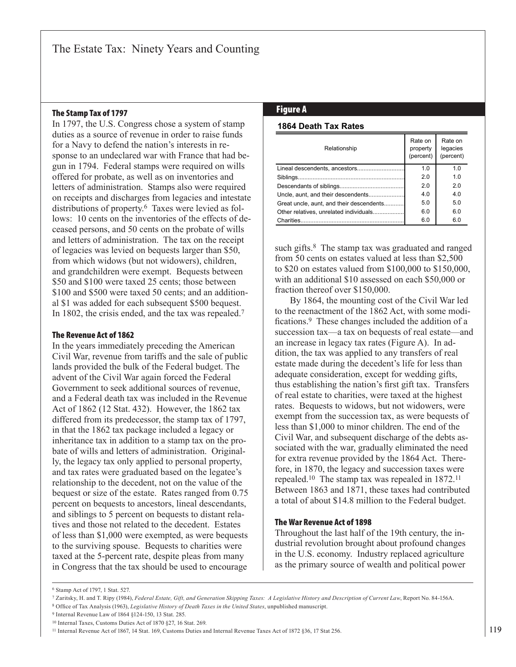## The Stamp Tax of 1797 **Figure A**

In 1797, the U.S. Congress chose a system of stamp duties as a source of revenue in order to raise funds for a Navy to defend the nation's interests in response to an undeclared war with France that had begun in 1794. Federal stamps were required on wills offered for probate, as well as on inventories and letters of administration. Stamps also were required on receipts and discharges from legacies and intestate distributions of property.6 Taxes were levied as follows: 10 cents on the inventories of the effects of deceased persons, and 50 cents on the probate of wills and letters of administration. The tax on the receipt of legacies was levied on bequests larger than \$50, from which widows (but not widowers), children, and grandchildren were exempt. Bequests between \$50 and \$100 were taxed 25 cents; those between \$100 and \$500 were taxed 50 cents; and an additional \$1 was added for each subsequent \$500 bequest. In 1802, the crisis ended, and the tax was repealed.7

#### The Revenue Act of 1862

In the years immediately preceding the American Civil War, revenue from tariffs and the sale of public lands provided the bulk of the Federal budget. The advent of the Civil War again forced the Federal Government to seek additional sources of revenue, and a Federal death tax was included in the Revenue Act of 1862 (12 Stat. 432). However, the 1862 tax differed from its predecessor, the stamp tax of 1797, in that the 1862 tax package included a legacy or inheritance tax in addition to a stamp tax on the probate of wills and letters of administration. Originally, the legacy tax only applied to personal property, and tax rates were graduated based on the legatee's relationship to the decedent, not on the value of the bequest or size of the estate. Rates ranged from 0.75 percent on bequests to ancestors, lineal descendants, and siblings to 5 percent on bequests to distant relatives and those not related to the decedent. Estates of less than \$1,000 were exempted, as were bequests to the surviving spouse. Bequests to charities were taxed at the 5-percent rate, despite pleas from many in Congress that the tax should be used to encourage

#### **1864 Death Tax Rates**

| Relationship                             | Rate on<br>property<br>(percent) | Rate on<br>legacies<br>(percent) |
|------------------------------------------|----------------------------------|----------------------------------|
| Lineal descendents, ancestors            | 1.0                              | 1.0                              |
| Siblings                                 | 2.0                              | 1.0                              |
|                                          | 2.0                              | 2.0                              |
| Uncle, aunt, and their descendents       | 4.0                              | 4.0                              |
| Great uncle, aunt, and their descendents | 5.0                              | 5.0                              |
| Other relatives, unrelated individuals   | 6.0                              | 6.0                              |
|                                          | 6.0                              | 6.0                              |

such gifts.<sup>8</sup> The stamp tax was graduated and ranged from 50 cents on estates valued at less than \$2,500 to \$20 on estates valued from \$100,000 to \$150,000, with an additional \$10 assessed on each \$50,000 or fraction thereof over \$150,000.

By 1864, the mounting cost of the Civil War led to the reenactment of the 1862 Act, with some modifications.9 These changes included the addition of a succession tax—a tax on bequests of real estate—and an increase in legacy tax rates (Figure A). In addition, the tax was applied to any transfers of real estate made during the decedent's life for less than adequate consideration, except for wedding gifts, thus establishing the nation's first gift tax. Transfers of real estate to charities, were taxed at the highest rates. Bequests to widows, but not widowers, were exempt from the succession tax, as were bequests of less than \$1,000 to minor children. The end of the Civil War, and subsequent discharge of the debts associated with the war, gradually eliminated the need for extra revenue provided by the 1864 Act. Therefore, in 1870, the legacy and succession taxes were repealed.10 The stamp tax was repealed in 1872.11 Between 1863 and 1871, these taxes had contributed a total of about \$14.8 million to the Federal budget.

#### The War Revenue Act of 1898

Throughout the last half of the 19th century, the industrial revolution brought about profound changes in the U.S. economy. Industry replaced agriculture as the primary source of wealth and political power

9 Internal Revenue Law of 1864 §124-150, 13 Stat. 285.

<sup>6</sup> Stamp Act of 1797, 1 Stat. 527.

<sup>7</sup> Zaritsky, H. and T. Ripy (1984), *Federal Estate, Gift, and Generation Skipping Taxes: A Legislative History and Description of Current Law*, Report No. 84-156A.

<sup>8</sup> Office of Tax Analysis (1963), *Legislative History of Death Taxes in the United States*, unpublished manuscript.

<sup>10</sup> Internal Taxes, Customs Duties Act of 1870 §27, 16 Stat. 269.

<sup>11</sup> Internal Revenue Act of 1867, 14 Stat. 169, Customs Duties and Internal Revenue Taxes Act of 1872 §36, 17 Stat 256.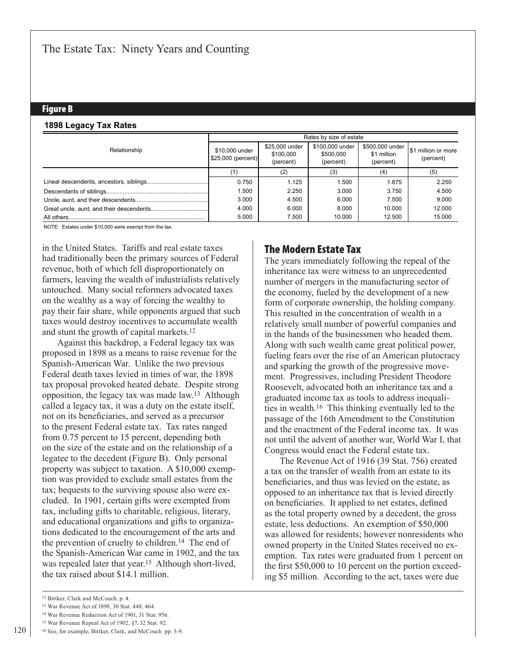#### Figure B

#### **1898 Legacy Tax Rates**

|              | Rates by size of estate               |                                          |                                           |                                             |                                        |
|--------------|---------------------------------------|------------------------------------------|-------------------------------------------|---------------------------------------------|----------------------------------------|
| Relationship | \$10,000 under<br>$$25,000$ (percent) | \$25,000 under<br>\$100,000<br>(percent) | \$100,000 under<br>\$500,000<br>(percent) | \$500,000 under<br>\$1 million<br>(percent) | <b>S1 million or more</b><br>(percent) |
|              |                                       | (2)                                      | (3)                                       | (4)                                         | (5)                                    |
|              | 0.750                                 | 1.125                                    | 1.500                                     | 1.875                                       | 2.250                                  |
|              | 1.500                                 | 2.250                                    | 3.000                                     | 3.750                                       | 4.500                                  |
|              | 3.000                                 | 4.500                                    | 6.000                                     | 7.500                                       | 9.000                                  |
|              | 4.000                                 | 6.000                                    | 8.000                                     | 10.000                                      | 12.000                                 |
|              | 5.000                                 | 7.500                                    | 10.000                                    | 12.500                                      | 15.000                                 |

NOTE: Estates under \$10,000 were exempt from the tax.

in the United States. Tariffs and real estate taxes had traditionally been the primary sources of Federal revenue, both of which fell disproportionately on farmers, leaving the wealth of industrialists relatively untouched. Many social reformers advocated taxes on the wealthy as a way of forcing the wealthy to pay their fair share, while opponents argued that such taxes would destroy incentives to accumulate wealth and stunt the growth of capital markets.12

Against this backdrop, a Federal legacy tax was proposed in 1898 as a means to raise revenue for the Spanish-American War. Unlike the two previous Federal death taxes levied in times of war, the 1898 tax proposal provoked heated debate. Despite strong opposition, the legacy tax was made law.13 Although called a legacy tax, it was a duty on the estate itself, not on its beneficiaries, and served as a precursor to the present Federal estate tax. Tax rates ranged from 0.75 percent to 15 percent, depending both on the size of the estate and on the relationship of a legatee to the decedent (Figure B). Only personal property was subject to taxation. A \$10,000 exemption was provided to exclude small estates from the tax; bequests to the surviving spouse also were excluded. In 1901, certain gifts were exempted from tax, including gifts to charitable, religious, literary, and educational organizations and gifts to organizations dedicated to the encouragement of the arts and the prevention of cruelty to children.14 The end of the Spanish-American War came in 1902, and the tax was repealed later that year.15 Although short-lived, the tax raised about \$14.1 million.

### The Modern Estate Tax

The years immediately following the repeal of the inheritance tax were witness to an unprecedented number of mergers in the manufacturing sector of the economy, fueled by the development of a new form of corporate ownership, the holding company. This resulted in the concentration of wealth in a relatively small number of powerful companies and in the hands of the businessmen who headed them. Along with such wealth came great political power, fueling fears over the rise of an American plutocracy and sparking the growth of the progressive movement. Progressives, including President Theodore Roosevelt, advocated both an inheritance tax and a graduated income tax as tools to address inequalities in wealth.16 This thinking eventually led to the passage of the 16th Amendment to the Constitution and the enactment of the Federal income tax. It was not until the advent of another war, World War I, that Congress would enact the Federal estate tax.

The Revenue Act of 1916 (39 Stat. 756) created a tax on the transfer of wealth from an estate to its beneficiaries, and thus was levied on the estate, as opposed to an inheritance tax that is levied directly on beneficiaries. It applied to net estates, defined as the total property owned by a decedent, the gross estate, less deductions. An exemption of \$50,000 was allowed for residents; however nonresidents who owned property in the United States received no exemption. Tax rates were graduated from 1 percent on the first \$50,000 to 10 percent on the portion exceeding \$5 million. According to the act, taxes were due

<sup>12</sup> Bittker, Clark and McCouch, p. 4.

<sup>13</sup> War Revenue Act of 1898, 30 Stat. 448, 464.

<sup>14</sup> War Revenue Reduction Act of 1901, 31 Stat. 956.

<sup>15</sup> War Revenue Repeal Act of 1902, §7, 32 Stat. 92.

<sup>16</sup> See, for example, Bittker, Clark, and McCouch pp. 3-9.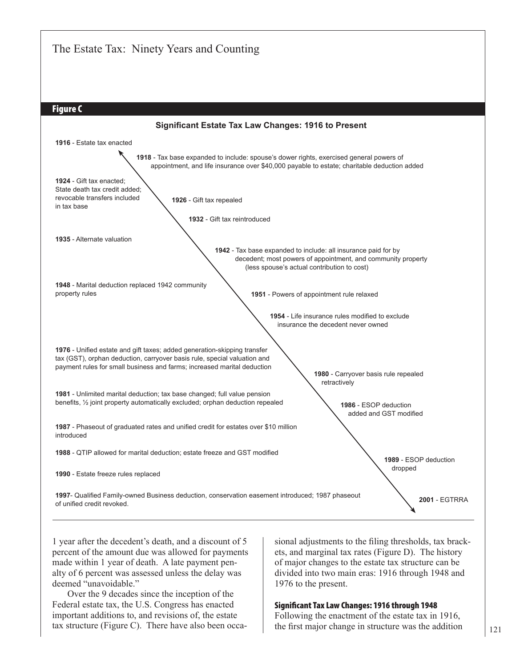

1 year after the decedent's death, and a discount of 5 percent of the amount due was allowed for payments made within 1 year of death. A late payment penalty of 6 percent was assessed unless the delay was deemed "unavoidable."

Over the 9 decades since the inception of the Federal estate tax, the U.S. Congress has enacted important additions to, and revisions of, the estate tax structure (Figure C). There have also been occasional adjustments to the filing thresholds, tax brackets, and marginal tax rates (Figure D). The history of major changes to the estate tax structure can be divided into two main eras: 1916 through 1948 and 1976 to the present.

#### Significant Tax Law Changes: 1916 through 1948

Following the enactment of the estate tax in 1916, the first major change in structure was the addition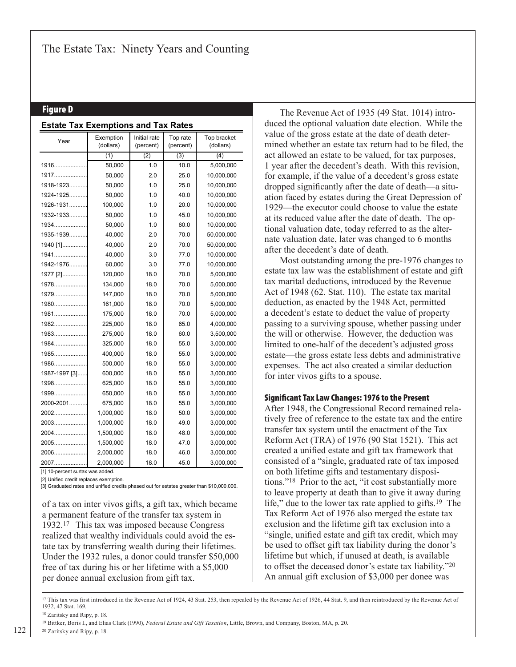#### Figure D

| <b>Estate Tax Exemptions and Tax Rates</b> |                                                     |      |                       |                          |  |
|--------------------------------------------|-----------------------------------------------------|------|-----------------------|--------------------------|--|
| Year                                       | Exemption<br>Initial rate<br>(dollars)<br>(percent) |      | Top rate<br>(percent) | Top bracket<br>(dollars) |  |
|                                            | (1)                                                 | (2)  | (3)                   | (4)                      |  |
| 1916                                       | 50,000                                              | 1.0  | 10.0                  | 5,000,000                |  |
| 1917                                       | 50,000                                              | 2.0  | 25.0                  | 10,000,000               |  |
| 1918-1923                                  | 50,000                                              | 1.0  | 25.0                  | 10,000,000               |  |
| 1924-1925                                  | 50,000                                              | 1.0  | 40.0                  | 10,000,000               |  |
| 1926-1931                                  | 100,000                                             | 1.0  | 20.0                  | 10,000,000               |  |
| 1932-1933                                  | 50,000                                              | 1.0  | 45.0                  | 10,000,000               |  |
| 1934                                       | 50,000                                              | 1.0  | 60.0                  | 10,000,000               |  |
| 1935-1939                                  | 40,000                                              | 2.0  | 70.0                  | 50,000,000               |  |
| 1940 [1]                                   | 40,000                                              | 2.0  | 70.0                  | 50,000,000               |  |
| 1941                                       | 40,000                                              | 3.0  | 77.0                  | 10,000,000               |  |
| 1942-1976                                  | 60,000                                              | 3.0  | 77.0                  | 10,000,000               |  |
| 1977 [2]                                   | 120,000                                             | 18.0 | 70.0                  | 5,000,000                |  |
| 1978                                       | 134,000                                             | 18.0 | 70.0                  | 5,000,000                |  |
| 1979                                       | 147,000                                             | 18.0 | 70.0                  | 5,000,000                |  |
| 1980                                       | 161,000                                             | 18.0 | 70.0                  | 5,000,000                |  |
| 1981                                       | 175,000                                             | 18.0 | 70.0                  | 5,000,000                |  |
| 1982                                       | 225,000                                             | 18.0 | 65.0                  | 4,000,000                |  |
| 1983                                       | 275,000                                             | 18.0 | 60.0                  | 3,500,000                |  |
| 1984                                       | 325,000                                             | 18.0 | 55.0                  | 3,000,000                |  |
| 1985                                       | 400,000                                             | 18.0 | 55.0                  | 3,000,000                |  |
| 1986                                       | 500,000                                             | 18.0 | 55.0                  | 3,000,000                |  |
| 1987-1997 [3]                              | 600,000                                             | 18.0 | 55.0                  | 3,000,000                |  |
| 1998                                       | 625,000                                             | 18.0 | 55.0                  | 3,000,000                |  |
| 1999                                       | 650,000                                             | 18.0 | 55.0                  | 3,000,000                |  |
| 2000-2001                                  | 675,000                                             | 18.0 | 55.0                  | 3,000,000                |  |
| 2002                                       | 1,000,000                                           | 18.0 | 50.0                  | 3,000,000                |  |
| 2003                                       | 1,000,000                                           | 18.0 | 49.0                  | 3,000,000                |  |
| 2004                                       | 1,500,000                                           | 18.0 | 48.0                  | 3,000,000                |  |
| 2005                                       | 1,500,000                                           | 18.0 | 47.0                  | 3,000,000                |  |
| 2006                                       | 2,000,000                                           | 18.0 | 46.0                  | 3,000,000                |  |
| 2007                                       | 2,000,000                                           | 18.0 | 45.0                  | 3,000,000                |  |

[1] 10-percent surtax was added.

[2] Unified credit replaces exemption.

[3] Graduated rates and unified credits phased out for estates greater than \$10,000,000.

of a tax on inter vivos gifts, a gift tax, which became a permanent feature of the transfer tax system in 1932.17 This tax was imposed because Congress realized that wealthy individuals could avoid the estate tax by transferring wealth during their lifetimes. Under the 1932 rules, a donor could transfer \$50,000 free of tax during his or her lifetime with a \$5,000 per donee annual exclusion from gift tax.

The Revenue Act of 1935 (49 Stat. 1014) introduced the optional valuation date election. While the value of the gross estate at the date of death determined whether an estate tax return had to be filed, the act allowed an estate to be valued, for tax purposes, 1 year after the decedent's death. With this revision, for example, if the value of a decedent's gross estate dropped significantly after the date of death—a situation faced by estates during the Great Depression of 1929—the executor could choose to value the estate at its reduced value after the date of death. The optional valuation date, today referred to as the alternate valuation date, later was changed to 6 months after the decedent's date of death.

Most outstanding among the pre-1976 changes to estate tax law was the establishment of estate and gift tax marital deductions, introduced by the Revenue Act of 1948 (62. Stat. 110). The estate tax marital deduction, as enacted by the 1948 Act, permitted a decedent's estate to deduct the value of property passing to a surviving spouse, whether passing under the will or otherwise. However, the deduction was limited to one-half of the decedent's adjusted gross estate—the gross estate less debts and administrative expenses. The act also created a similar deduction for inter vivos gifts to a spouse.

#### Significant Tax Law Changes: 1976 to the Present

After 1948, the Congressional Record remained relatively free of reference to the estate tax and the entire transfer tax system until the enactment of the Tax Reform Act (TRA) of 1976 (90 Stat 1521). This act created a unified estate and gift tax framework that consisted of a "single, graduated rate of tax imposed on both lifetime gifts and testamentary dispositions."18 Prior to the act, "it cost substantially more to leave property at death than to give it away during life," due to the lower tax rate applied to gifts.<sup>19</sup> The Tax Reform Act of 1976 also merged the estate tax exclusion and the lifetime gift tax exclusion into a "single, unified estate and gift tax credit, which may be used to offset gift tax liability during the donor's lifetime but which, if unused at death, is available to offset the deceased donor's estate tax liability."20 An annual gift exclusion of \$3,000 per donee was

<sup>&</sup>lt;sup>17</sup> This tax was first introduced in the Revenue Act of 1924, 43 Stat. 253, then repealed by the Revenue Act of 1926, 44 Stat. 9, and then reintroduced by the Revenue Act of 1932, 47 Stat. 169.

<sup>18</sup> Zaritsky and Ripy, p. 18.

<sup>19</sup> Bittker, Boris I., and Elias Clark (1990), *Federal Estate and Gift Taxation*, Little, Brown, and Company, Boston, MA, p. 20.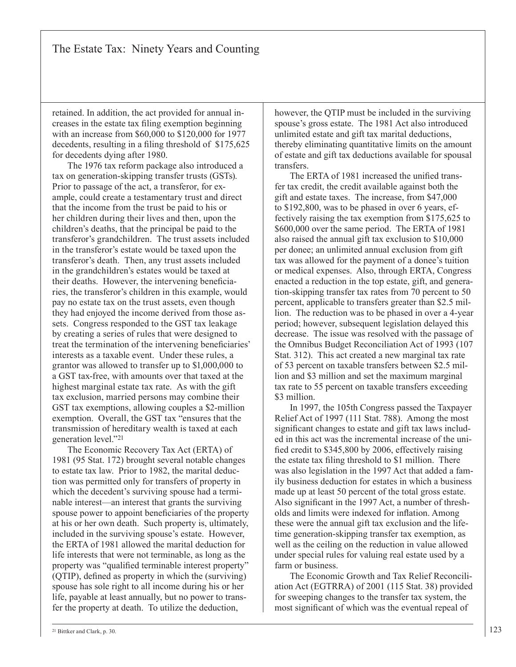retained. In addition, the act provided for annual increases in the estate tax filing exemption beginning with an increase from \$60,000 to \$120,000 for 1977 decedents, resulting in a filing threshold of \$175,625 for decedents dying after 1980.

The 1976 tax reform package also introduced a tax on generation-skipping transfer trusts (GSTs). Prior to passage of the act, a transferor, for example, could create a testamentary trust and direct that the income from the trust be paid to his or her children during their lives and then, upon the children's deaths, that the principal be paid to the transferor's grandchildren. The trust assets included in the transferor's estate would be taxed upon the transferor's death. Then, any trust assets included in the grandchildren's estates would be taxed at their deaths. However, the intervening beneficiaries, the transferor's children in this example, would pay no estate tax on the trust assets, even though they had enjoyed the income derived from those assets. Congress responded to the GST tax leakage by creating a series of rules that were designed to treat the termination of the intervening beneficiaries' interests as a taxable event. Under these rules, a grantor was allowed to transfer up to \$1,000,000 to a GST tax-free, with amounts over that taxed at the highest marginal estate tax rate. As with the gift tax exclusion, married persons may combine their GST tax exemptions, allowing couples a \$2-million exemption. Overall, the GST tax "ensures that the transmission of hereditary wealth is taxed at each generation level."21

The Economic Recovery Tax Act (ERTA) of 1981 (95 Stat. 172) brought several notable changes to estate tax law. Prior to 1982, the marital deduction was permitted only for transfers of property in which the decedent's surviving spouse had a terminable interest—an interest that grants the surviving spouse power to appoint beneficiaries of the property at his or her own death. Such property is, ultimately, included in the surviving spouse's estate. However, the ERTA of 1981 allowed the marital deduction for life interests that were not terminable, as long as the property was "qualified terminable interest property" (QTIP), defined as property in which the (surviving) spouse has sole right to all income during his or her life, payable at least annually, but no power to transfer the property at death. To utilize the deduction,

however, the QTIP must be included in the surviving spouse's gross estate. The 1981 Act also introduced unlimited estate and gift tax marital deductions, thereby eliminating quantitative limits on the amount of estate and gift tax deductions available for spousal **transfers** 

The ERTA of 1981 increased the unified transfer tax credit, the credit available against both the gift and estate taxes. The increase, from \$47,000 to \$192,800, was to be phased in over 6 years, effectively raising the tax exemption from \$175,625 to \$600,000 over the same period. The ERTA of 1981 also raised the annual gift tax exclusion to \$10,000 per donee; an unlimited annual exclusion from gift tax was allowed for the payment of a donee's tuition or medical expenses. Also, through ERTA, Congress enacted a reduction in the top estate, gift, and generation-skipping transfer tax rates from 70 percent to 50 percent, applicable to transfers greater than \$2.5 million. The reduction was to be phased in over a 4-year period; however, subsequent legislation delayed this decrease. The issue was resolved with the passage of the Omnibus Budget Reconciliation Act of 1993 (107 Stat. 312). This act created a new marginal tax rate of 53 percent on taxable transfers between \$2.5 million and \$3 million and set the maximum marginal tax rate to 55 percent on taxable transfers exceeding \$3 million.

In 1997, the 105th Congress passed the Taxpayer Relief Act of 1997 (111 Stat. 788). Among the most significant changes to estate and gift tax laws included in this act was the incremental increase of the unified credit to \$345,800 by 2006, effectively raising the estate tax filing threshold to \$1 million. There was also legislation in the 1997 Act that added a family business deduction for estates in which a business made up at least 50 percent of the total gross estate. Also significant in the 1997 Act, a number of thresholds and limits were indexed for inflation. Among these were the annual gift tax exclusion and the lifetime generation-skipping transfer tax exemption, as well as the ceiling on the reduction in value allowed under special rules for valuing real estate used by a farm or business.

The Economic Growth and Tax Relief Reconciliation Act (EGTRRA) of 2001 (115 Stat. 38) provided for sweeping changes to the transfer tax system, the most significant of which was the eventual repeal of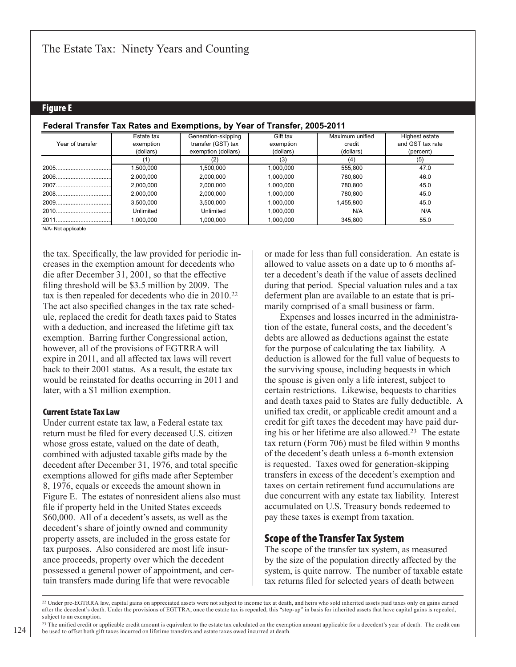#### Figure E

|                  | Estate tax | Generation-skipping | Gift tax  | Maximum unified | Highest estate   |
|------------------|------------|---------------------|-----------|-----------------|------------------|
| Year of transfer | exemption  | transfer (GST) tax  | exemption | credit          | and GST tax rate |
|                  | (dollars)  | exemption (dollars) | (dollars) | (dollars)       | (percent)        |
|                  |            |                     | (3)       | (4)             | (5)              |
|                  | .500,000   | 1,500,000           | 1,000,000 | 555,800         | 47.0             |
|                  | 2.000.000  | 2.000.000           | 1.000.000 | 780.800         | 46.0             |
|                  | 2.000.000  | 2.000.000           | 1.000.000 | 780.800         | 45.0             |
|                  | 2.000.000  | 2.000.000           | 1.000.000 | 780.800         | 45.0             |
|                  | 3,500,000  | 3.500.000           | 1.000.000 | 1,455,800       | 45.0             |
|                  | Unlimited  | Unlimited           | 1.000.000 | N/A             | N/A              |
|                  | 1,000,000  | 1,000,000           | 1,000,000 | 345,800         | 55.0             |

#### **Federal Transfer Tax Rates and Exemptions, by Year of Transfer, 2005-2011**

N/A- Not applicable

the tax. Specifically, the law provided for periodic increases in the exemption amount for decedents who die after December 31, 2001, so that the effective filing threshold will be \$3.5 million by 2009. The tax is then repealed for decedents who die in 2010.22 The act also specified changes in the tax rate schedule, replaced the credit for death taxes paid to States with a deduction, and increased the lifetime gift tax exemption. Barring further Congressional action, however, all of the provisions of EGTRRA will expire in 2011, and all affected tax laws will revert back to their 2001 status. As a result, the estate tax would be reinstated for deaths occurring in 2011 and later, with a \$1 million exemption.

#### Current Estate Tax Law

Under current estate tax law, a Federal estate tax return must be filed for every deceased U.S. citizen whose gross estate, valued on the date of death, combined with adjusted taxable gifts made by the decedent after December 31, 1976, and total specific exemptions allowed for gifts made after September 8, 1976, equals or exceeds the amount shown in Figure E. The estates of nonresident aliens also must file if property held in the United States exceeds \$60,000. All of a decedent's assets, as well as the decedent's share of jointly owned and community property assets, are included in the gross estate for tax purposes. Also considered are most life insurance proceeds, property over which the decedent possessed a general power of appointment, and certain transfers made during life that were revocable

or made for less than full consideration. An estate is allowed to value assets on a date up to 6 months after a decedent's death if the value of assets declined during that period. Special valuation rules and a tax deferment plan are available to an estate that is primarily comprised of a small business or farm.

Expenses and losses incurred in the administration of the estate, funeral costs, and the decedent's debts are allowed as deductions against the estate for the purpose of calculating the tax liability. A deduction is allowed for the full value of bequests to the surviving spouse, including bequests in which the spouse is given only a life interest, subject to certain restrictions. Likewise, bequests to charities and death taxes paid to States are fully deductible. A unified tax credit, or applicable credit amount and a credit for gift taxes the decedent may have paid during his or her lifetime are also allowed.23 The estate tax return (Form 706) must be filed within 9 months of the decedent's death unless a 6-month extension is requested. Taxes owed for generation-skipping transfers in excess of the decedent's exemption and taxes on certain retirement fund accumulations are due concurrent with any estate tax liability. Interest accumulated on U.S. Treasury bonds redeemed to pay these taxes is exempt from taxation.

### Scope of the Transfer Tax System

The scope of the transfer tax system, as measured by the size of the population directly affected by the system, is quite narrow. The number of taxable estate tax returns filed for selected years of death between

<sup>&</sup>lt;sup>22</sup> Under pre-EGTRRA law, capital gains on appreciated assets were not subject to income tax at death, and heirs who sold inherited assets paid taxes only on gains earned after the decedent's death. Under the provisions of EGTTRA, once the estate tax is repealed, this "step-up" in basis for inherited assets that have capital gains is repealed, subject to an exemption.

<sup>&</sup>lt;sup>23</sup> The unified credit or applicable credit amount is equivalent to the estate tax calculated on the exemption amount applicable for a decedent's year of death. The credit can be used to offset both gift taxes incurred on lifetime transfers and estate taxes owed incurred at death.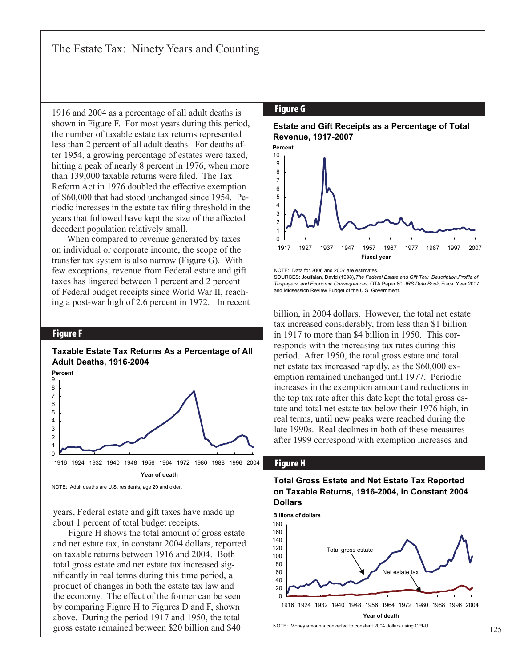1916 and 2004 as a percentage of all adult deaths is shown in Figure F. For most years during this period, the number of taxable estate tax returns represented less than 2 percent of all adult deaths. For deaths after 1954, a growing percentage of estates were taxed, hitting a peak of nearly 8 percent in 1976, when more than 139,000 taxable returns were filed. The Tax Reform Act in 1976 doubled the effective exemption of \$60,000 that had stood unchanged since 1954. Periodic increases in the estate tax filing threshold in the years that followed have kept the size of the affected decedent population relatively small.

When compared to revenue generated by taxes on individual or corporate income, the scope of the transfer tax system is also narrow (Figure G). With few exceptions, revenue from Federal estate and gift taxes has lingered between 1 percent and 2 percent of Federal budget receipts since World War II, reaching a post-war high of 2.6 percent in 1972. In recent

#### Figure F

#### $\Omega$ 1 2 3 4 5 6 7 8 9 1916 1924 1932 1940 1948 1956 1964 1972 1980 1988 1996 2004 **Taxable Estate Tax Returns As a Percentage of All Adult Deaths, 1916-2004 Percent Year of death**

NOTE: Adult deaths are U.S. residents, age 20 and older.

years, Federal estate and gift taxes have made up about 1 percent of total budget receipts.

Figure H shows the total amount of gross estate and net estate tax, in constant 2004 dollars, reported on taxable returns between 1916 and 2004. Both total gross estate and net estate tax increased significantly in real terms during this time period, a product of changes in both the estate tax law and the economy. The effect of the former can be seen by comparing Figure H to Figures D and F, shown above. During the period 1917 and 1950, the total gross estate remained between \$20 billion and \$40

#### Figure G





NOTE: Data for 2006 and 2007 are estimates. SOURCES: Joulfaian, David (1998),*The Federal Estate and Gift Tax: Description,Profile of Taxpayers, and Economic Consequences,* OTA Paper 80; *IRS Data Book,* Fiscal Year 2007; and Midsession Review Budget of the U.S. Government.

billion, in 2004 dollars. However, the total net estate tax increased considerably, from less than \$1 billion in 1917 to more than \$4 billion in 1950. This corresponds with the increasing tax rates during this period. After 1950, the total gross estate and total net estate tax increased rapidly, as the \$60,000 exemption remained unchanged until 1977. Periodic increases in the exemption amount and reductions in the top tax rate after this date kept the total gross estate and total net estate tax below their 1976 high, in real terms, until new peaks were reached during the late 1990s. Real declines in both of these measures after 1999 correspond with exemption increases and

#### Figure H

#### **Total Gross Estate and Net Estate Tax Reported on Taxable Returns, 1916-2004, in Constant 2004 Dollars**



NOTE: Money amounts converted to constant 2004 dollars using CPI-U.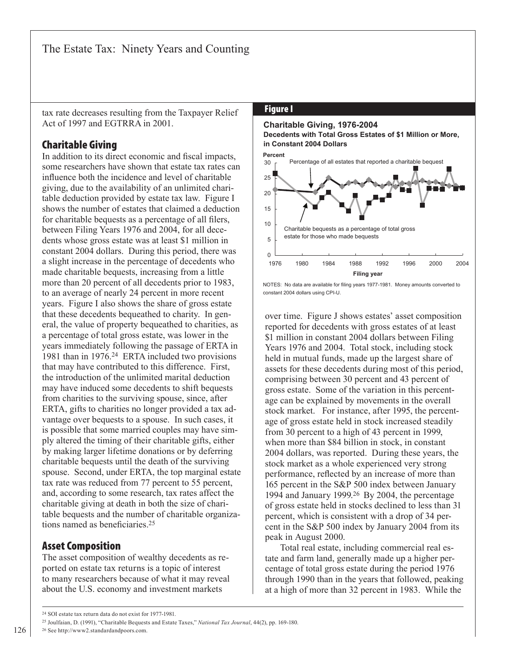tax rate decreases resulting from the Taxpayer Relief Act of 1997 and EGTRRA in 2001.

### **Charitable Giving**

In addition to its direct economic and fiscal impacts, some researchers have shown that estate tax rates can influence both the incidence and level of charitable giving, due to the availability of an unlimited charitable deduction provided by estate tax law. Figure I shows the number of estates that claimed a deduction for charitable bequests as a percentage of all filers, between Filing Years 1976 and 2004, for all decedents whose gross estate was at least \$1 million in constant 2004 dollars. During this period, there was a slight increase in the percentage of decedents who made charitable bequests, increasing from a little more than 20 percent of all decedents prior to 1983, to an average of nearly 24 percent in more recent years. Figure I also shows the share of gross estate that these decedents bequeathed to charity. In general, the value of property bequeathed to charities, as a percentage of total gross estate, was lower in the years immediately following the passage of ERTA in 1981 than in 1976.24 ERTA included two provisions that may have contributed to this difference. First, the introduction of the unlimited marital deduction may have induced some decedents to shift bequests from charities to the surviving spouse, since, after ERTA, gifts to charities no longer provided a tax advantage over bequests to a spouse. In such cases, it is possible that some married couples may have simply altered the timing of their charitable gifts, either by making larger lifetime donations or by deferring charitable bequests until the death of the surviving spouse. Second, under ERTA, the top marginal estate tax rate was reduced from 77 percent to 55 percent, and, according to some research, tax rates affect the charitable giving at death in both the size of charitable bequests and the number of charitable organizations named as beneficiaries.<sup>25</sup>

### **Asset Composition**

The asset composition of wealthy decedents as reported on estate tax returns is a topic of interest to many researchers because of what it may reveal about the U.S. economy and investment markets

#### **Figure I**

#### **Charitable Giving, 1976-2004 Decedents with Total Gross Estates of \$1 Million or More, in Constant 2004 Dollars**



NOTES: No data are available for filing years 1977-1981. Money amounts converted to constant 2004 dollars using CPI-U.

over time. Figure J shows estates' asset composition reported for decedents with gross estates of at least \$1 million in constant 2004 dollars between Filing Years 1976 and 2004. Total stock, including stock held in mutual funds, made up the largest share of assets for these decedents during most of this period, comprising between 30 percent and 43 percent of gross estate. Some of the variation in this percentage can be explained by movements in the overall stock market. For instance, after 1995, the percentage of gross estate held in stock increased steadily from 30 percent to a high of 43 percent in 1999, when more than \$84 billion in stock, in constant 2004 dollars, was reported. During these years, the stock market as a whole experienced very strong performance, reflected by an increase of more than 165 percent in the S&P 500 index between January 1994 and January 1999.26 By 2004, the percentage of gross estate held in stocks declined to less than 31 percent, which is consistent with a drop of 34 percent in the S&P 500 index by January 2004 from its peak in August 2000.

Total real estate, including commercial real estate and farm land, generally made up a higher percentage of total gross estate during the period 1976 through 1990 than in the years that followed, peaking at a high of more than 32 percent in 1983. While the

26 See http://www2.standardandpoors.com.

<sup>24</sup> SOI estate tax return data do not exist for 1977-1981.

<sup>25</sup> Joulfaian, D. (1991), "Charitable Bequests and Estate Taxes," *National Tax Journal*, 44(2), pp. 169-180.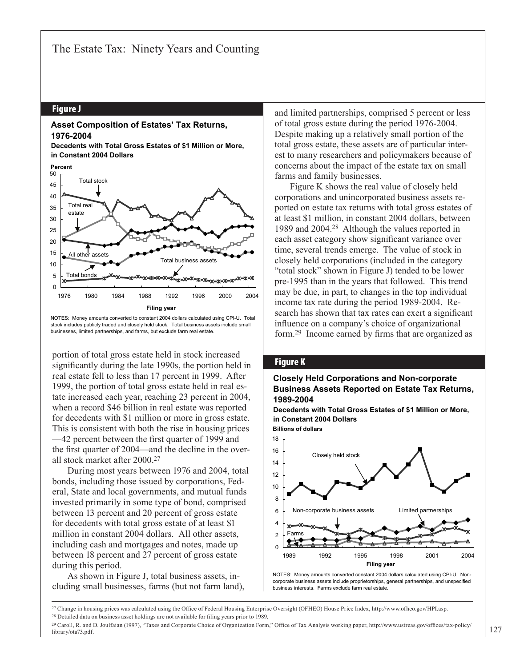#### Figure J

#### **Asset Composition of Estates' Tax Returns, 1976-2004**



#### 35 40 45 50 **Percent** Total stock Total real estate



NOTES: Money amounts converted to constant 2004 dollars calculated using CPI-U. Total stock includes publicly traded and closely held stock. Total business assets include small businesses, limited partnerships, and farms, but exclude farm real estate.

portion of total gross estate held in stock increased significantly during the late 1990s, the portion held in real estate fell to less than 17 percent in 1999. After 1999, the portion of total gross estate held in real estate increased each year, reaching 23 percent in 2004, when a record \$46 billion in real estate was reported for decedents with \$1 million or more in gross estate. This is consistent with both the rise in housing prices —42 percent between the first quarter of 1999 and the first quarter of 2004—and the decline in the overall stock market after 2000.27

During most years between 1976 and 2004, total bonds, including those issued by corporations, Federal, State and local governments, and mutual funds invested primarily in some type of bond, comprised between 13 percent and 20 percent of gross estate for decedents with total gross estate of at least \$1 million in constant 2004 dollars. All other assets, including cash and mortgages and notes, made up between 18 percent and 27 percent of gross estate during this period.

As shown in Figure J, total business assets, including small businesses, farms (but not farm land), and limited partnerships, comprised 5 percent or less of total gross estate during the period 1976-2004. Despite making up a relatively small portion of the total gross estate, these assets are of particular interest to many researchers and policymakers because of concerns about the impact of the estate tax on small farms and family businesses.

Figure K shows the real value of closely held corporations and unincorporated business assets reported on estate tax returns with total gross estates of at least \$1 million, in constant 2004 dollars, between 1989 and 2004.28 Although the values reported in each asset category show significant variance over time, several trends emerge. The value of stock in closely held corporations (included in the category "total stock" shown in Figure J) tended to be lower pre-1995 than in the years that followed. This trend may be due, in part, to changes in the top individual income tax rate during the period 1989-2004. Research has shown that tax rates can exert a significant influence on a company's choice of organizational form.29 Income earned by firms that are organized as

#### Figure K

#### **Closely Held Corporations and Non-corporate Business Assets Reported on Estate Tax Returns, 1989-2004**

**Decedents with Total Gross Estates of \$1 Million or More, in Constant 2004 Dollars Billions of dollars**



NOTES: Money amounts converted constant 2004 dollars calculated using CPI-U. Noncorporate business assets include proprietorships, general partnerships, and unspecified business interests. Farms exclude farm real estate.

<sup>27</sup> Change in housing prices was calculated using the Office of Federal Housing Enterprise Oversight (OFHEO) House Price Index, http://www.ofheo.gov/HPI.asp.

<sup>28</sup> Detailed data on business asset holdings are not available for filing years prior to 1989.

<sup>&</sup>lt;sup>29</sup> Caroll, R. and D. Joulfaian (1997), "Taxes and Corporate Choice of Organization Form," Office of Tax Analysis working paper, http://www.ustreas.gov/offices/tax-policy/ library/ota73.pdf.